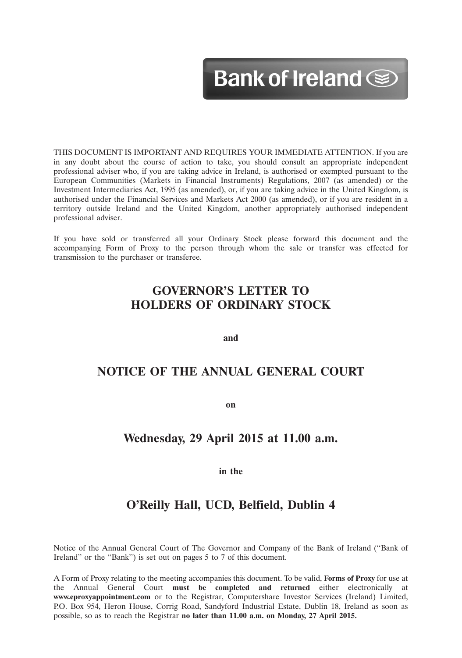# Bank of Ireland  $\circledast$

12MAR201310073563

THIS DOCUMENT IS IMPORTANT AND REQUIRES YOUR IMMEDIATE ATTENTION. If you are in any doubt about the course of action to take, you should consult an appropriate independent professional adviser who, if you are taking advice in Ireland, is authorised or exempted pursuant to the European Communities (Markets in Financial Instruments) Regulations, 2007 (as amended) or the Investment Intermediaries Act, 1995 (as amended), or, if you are taking advice in the United Kingdom, is authorised under the Financial Services and Markets Act 2000 (as amended), or if you are resident in a territory outside Ireland and the United Kingdom, another appropriately authorised independent professional adviser.

If you have sold or transferred all your Ordinary Stock please forward this document and the accompanying Form of Proxy to the person through whom the sale or transfer was effected for transmission to the purchaser or transferee.

# **GOVERNOR'S LETTER TO HOLDERS OF ORDINARY STOCK**

**and**

# **NOTICE OF THE ANNUAL GENERAL COURT**

**on**

# **Wednesday, 29 April 2015 at 11.00 a.m.**

**in the**

# **O'Reilly Hall, UCD, Belfield, Dublin 4**

Notice of the Annual General Court of The Governor and Company of the Bank of Ireland (''Bank of Ireland'' or the ''Bank'') is set out on pages 5 to 7 of this document.

A Form of Proxy relating to the meeting accompanies this document. To be valid, **Forms of Proxy** for use at the Annual General Court **must be completed and returned** either electronically at **www.eproxyappointment.com** or to the Registrar, Computershare Investor Services (Ireland) Limited, P.O. Box 954, Heron House, Corrig Road, Sandyford Industrial Estate, Dublin 18, Ireland as soon as possible, so as to reach the Registrar **no later than 11.00 a.m. on Monday, 27 April 2015.**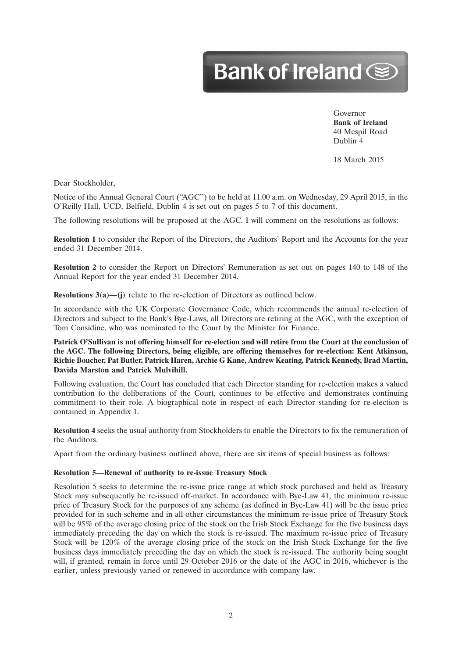# Bank of Ireland Separate

Governor **Bank of Ireland** 40 Mespil Road Dublin 4

12MAR201310073563

18 March 2015

Dear Stockholder,

Notice of the Annual General Court ("AGC") to be held at 11.00 a.m. on Wednesday, 29 April 2015, in the O'Reilly Hall, UCD, Belfield, Dublin 4 is set out on pages 5 to 7 of this document.

The following resolutions will be proposed at the AGC. I will comment on the resolutions as follows:

**Resolution 1** to consider the Report of the Directors, the Auditors' Report and the Accounts for the year ended 31 December 2014.

**Resolution 2** to consider the Report on Directors' Remuneration as set out on pages 140 to 148 of the Annual Report for the year ended 31 December 2014.

**Resolutions 3(a)—(j)** relate to the re-election of Directors as outlined below.

In accordance with the UK Corporate Governance Code, which recommends the annual re-election of Directors and subject to the Bank's Bye-Laws, all Directors are retiring at the AGC, with the exception of Tom Considine, who was nominated to the Court by the Minister for Finance.

### **Patrick O'Sullivan is not offering himself for re-election and will retire from the Court at the conclusion of the AGC. The following Directors, being eligible, are offering themselves for re-election: Kent Atkinson, Richie Boucher, Pat Butler, Patrick Haren, Archie G Kane, Andrew Keating, Patrick Kennedy, Brad Martin, Davida Marston and Patrick Mulvihill.**

Following evaluation, the Court has concluded that each Director standing for re-election makes a valued contribution to the deliberations of the Court, continues to be effective and demonstrates continuing commitment to their role. A biographical note in respect of each Director standing for re-election is contained in Appendix 1.

**Resolution 4** seeks the usual authority from Stockholders to enable the Directors to fix the remuneration of the Auditors.

Apart from the ordinary business outlined above, there are six items of special business as follows:

#### **Resolution 5—Renewal of authority to re-issue Treasury Stock**

Resolution 5 seeks to determine the re-issue price range at which stock purchased and held as Treasury Stock may subsequently be re-issued off-market. In accordance with Bye-Law 41, the minimum re-issue price of Treasury Stock for the purposes of any scheme (as defined in Bye-Law 41) will be the issue price provided for in such scheme and in all other circumstances the minimum re-issue price of Treasury Stock will be 95% of the average closing price of the stock on the Irish Stock Exchange for the five business days immediately preceding the day on which the stock is re-issued. The maximum re-issue price of Treasury Stock will be 120% of the average closing price of the stock on the Irish Stock Exchange for the five business days immediately preceding the day on which the stock is re-issued. The authority being sought will, if granted, remain in force until 29 October 2016 or the date of the AGC in 2016, whichever is the earlier, unless previously varied or renewed in accordance with company law.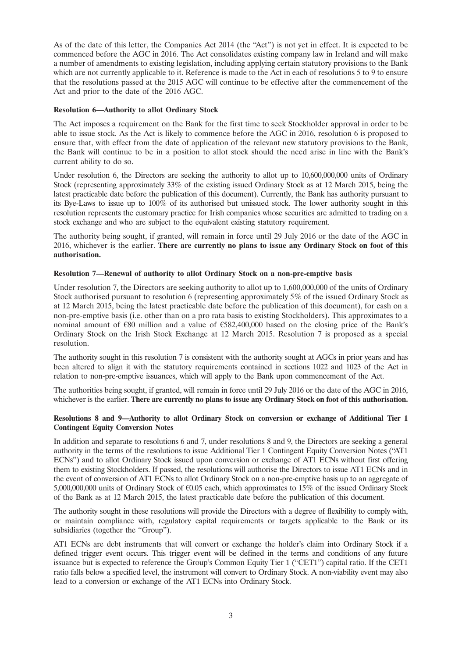As of the date of this letter, the Companies Act 2014 (the ''Act'') is not yet in effect. It is expected to be commenced before the AGC in 2016. The Act consolidates existing company law in Ireland and will make a number of amendments to existing legislation, including applying certain statutory provisions to the Bank which are not currently applicable to it. Reference is made to the Act in each of resolutions 5 to 9 to ensure that the resolutions passed at the 2015 AGC will continue to be effective after the commencement of the Act and prior to the date of the 2016 AGC.

#### **Resolution 6—Authority to allot Ordinary Stock**

The Act imposes a requirement on the Bank for the first time to seek Stockholder approval in order to be able to issue stock. As the Act is likely to commence before the AGC in 2016, resolution 6 is proposed to ensure that, with effect from the date of application of the relevant new statutory provisions to the Bank, the Bank will continue to be in a position to allot stock should the need arise in line with the Bank's current ability to do so.

Under resolution 6, the Directors are seeking the authority to allot up to 10,600,000,000 units of Ordinary Stock (representing approximately 33% of the existing issued Ordinary Stock as at 12 March 2015, being the latest practicable date before the publication of this document). Currently, the Bank has authority pursuant to its Bye-Laws to issue up to 100% of its authorised but unissued stock. The lower authority sought in this resolution represents the customary practice for Irish companies whose securities are admitted to trading on a stock exchange and who are subject to the equivalent existing statutory requirement.

The authority being sought, if granted, will remain in force until 29 July 2016 or the date of the AGC in 2016, whichever is the earlier. **There are currently no plans to issue any Ordinary Stock on foot of this authorisation.**

#### **Resolution 7—Renewal of authority to allot Ordinary Stock on a non-pre-emptive basis**

Under resolution 7, the Directors are seeking authority to allot up to 1,600,000,000 of the units of Ordinary Stock authorised pursuant to resolution 6 (representing approximately 5% of the issued Ordinary Stock as at 12 March 2015, being the latest practicable date before the publication of this document), for cash on a non-pre-emptive basis (i.e. other than on a pro rata basis to existing Stockholders). This approximates to a nominal amount of  $\epsilon$ 80 million and a value of  $\epsilon$ 582,400,000 based on the closing price of the Bank's Ordinary Stock on the Irish Stock Exchange at 12 March 2015. Resolution 7 is proposed as a special resolution.

The authority sought in this resolution 7 is consistent with the authority sought at AGCs in prior years and has been altered to align it with the statutory requirements contained in sections 1022 and 1023 of the Act in relation to non-pre-emptive issuances, which will apply to the Bank upon commencement of the Act.

The authorities being sought, if granted, will remain in force until 29 July 2016 or the date of the AGC in 2016, whichever is the earlier. **There are currently no plans to issue any Ordinary Stock on foot of this authorisation.**

### **Resolutions 8 and 9—Authority to allot Ordinary Stock on conversion or exchange of Additional Tier 1 Contingent Equity Conversion Notes**

In addition and separate to resolutions 6 and 7, under resolutions 8 and 9, the Directors are seeking a general authority in the terms of the resolutions to issue Additional Tier 1 Contingent Equity Conversion Notes (''AT1 ECNs'') and to allot Ordinary Stock issued upon conversion or exchange of AT1 ECNs without first offering them to existing Stockholders. If passed, the resolutions will authorise the Directors to issue AT1 ECNs and in the event of conversion of AT1 ECNs to allot Ordinary Stock on a non-pre-emptive basis up to an aggregate of 5,000,000,000 units of Ordinary Stock of  $\epsilon$ 0.05 each, which approximates to 15% of the issued Ordinary Stock of the Bank as at 12 March 2015, the latest practicable date before the publication of this document.

The authority sought in these resolutions will provide the Directors with a degree of flexibility to comply with, or maintain compliance with, regulatory capital requirements or targets applicable to the Bank or its subsidiaries (together the "Group").

AT1 ECNs are debt instruments that will convert or exchange the holder's claim into Ordinary Stock if a defined trigger event occurs. This trigger event will be defined in the terms and conditions of any future issuance but is expected to reference the Group's Common Equity Tier 1 (''CET1'') capital ratio. If the CET1 ratio falls below a specified level, the instrument will convert to Ordinary Stock. A non-viability event may also lead to a conversion or exchange of the AT1 ECNs into Ordinary Stock.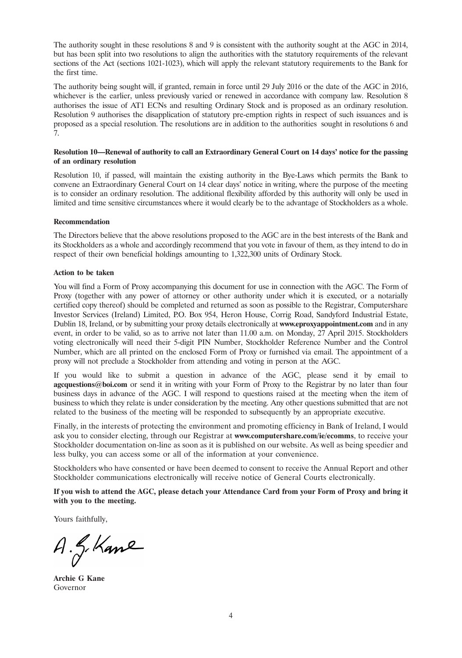The authority sought in these resolutions 8 and 9 is consistent with the authority sought at the AGC in 2014, but has been split into two resolutions to align the authorities with the statutory requirements of the relevant sections of the Act (sections 1021-1023), which will apply the relevant statutory requirements to the Bank for the first time.

The authority being sought will, if granted, remain in force until 29 July 2016 or the date of the AGC in 2016, whichever is the earlier, unless previously varied or renewed in accordance with company law. Resolution 8 authorises the issue of AT1 ECNs and resulting Ordinary Stock and is proposed as an ordinary resolution. Resolution 9 authorises the disapplication of statutory pre-emption rights in respect of such issuances and is proposed as a special resolution. The resolutions are in addition to the authorities sought in resolutions 6 and 7.

#### **Resolution 10—Renewal of authority to call an Extraordinary General Court on 14 days' notice for the passing of an ordinary resolution**

Resolution 10, if passed, will maintain the existing authority in the Bye-Laws which permits the Bank to convene an Extraordinary General Court on 14 clear days' notice in writing, where the purpose of the meeting is to consider an ordinary resolution. The additional flexibility afforded by this authority will only be used in limited and time sensitive circumstances where it would clearly be to the advantage of Stockholders as a whole.

#### **Recommendation**

The Directors believe that the above resolutions proposed to the AGC are in the best interests of the Bank and its Stockholders as a whole and accordingly recommend that you vote in favour of them, as they intend to do in respect of their own beneficial holdings amounting to 1,322,300 units of Ordinary Stock.

#### **Action to be taken**

You will find a Form of Proxy accompanying this document for use in connection with the AGC. The Form of Proxy (together with any power of attorney or other authority under which it is executed, or a notarially certified copy thereof) should be completed and returned as soon as possible to the Registrar, Computershare Investor Services (Ireland) Limited, P.O. Box 954, Heron House, Corrig Road, Sandyford Industrial Estate, Dublin 18, Ireland, or by submitting your proxy details electronically at **www.eproxyappointment.com** and in any event, in order to be valid, so as to arrive not later than 11.00 a.m. on Monday, 27 April 2015. Stockholders voting electronically will need their 5-digit PIN Number, Stockholder Reference Number and the Control Number, which are all printed on the enclosed Form of Proxy or furnished via email. The appointment of a proxy will not preclude a Stockholder from attending and voting in person at the AGC.

If you would like to submit a question in advance of the AGC, please send it by email to **agcquestions@boi.com** or send it in writing with your Form of Proxy to the Registrar by no later than four business days in advance of the AGC. I will respond to questions raised at the meeting when the item of business to which they relate is under consideration by the meeting. Any other questions submitted that are not related to the business of the meeting will be responded to subsequently by an appropriate executive.

Finally, in the interests of protecting the environment and promoting efficiency in Bank of Ireland, I would ask you to consider electing, through our Registrar at **www.computershare.com/ie/ecomms**, to receive your Stockholder documentation on-line as soon as it is published on our website. As well as being speedier and less bulky, you can access some or all of the information at your convenience.

Stockholders who have consented or have been deemed to consent to receive the Annual Report and other Stockholder communications electronically will receive notice of General Courts electronically.

**If you wish to attend the AGC, please detach your Attendance Card from your Form of Proxy and bring it with you to the meeting.**

Yours faithfully,

 $A.f.Kane$ 

**Archie G Kane** Governor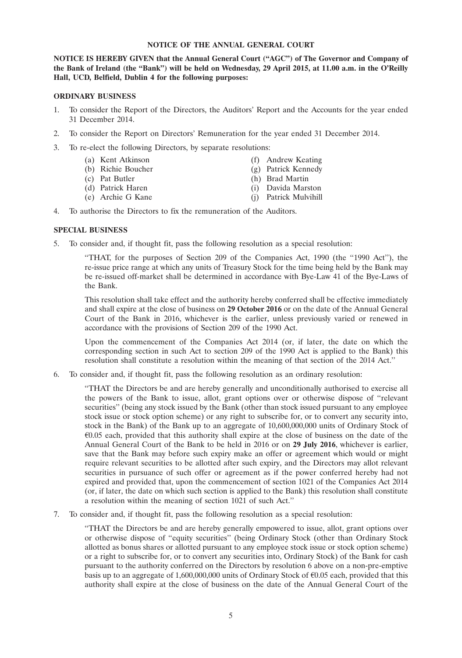#### **NOTICE OF THE ANNUAL GENERAL COURT**

**NOTICE IS HEREBY GIVEN that the Annual General Court (''AGC'') of The Governor and Company of the Bank of Ireland (the ''Bank'') will be held on Wednesday, 29 April 2015, at 11.00 a.m. in the O'Reilly Hall, UCD, Belfield, Dublin 4 for the following purposes:**

#### **ORDINARY BUSINESS**

- 1. To consider the Report of the Directors, the Auditors' Report and the Accounts for the year ended 31 December 2014.
- 2. To consider the Report on Directors' Remuneration for the year ended 31 December 2014.
- 3. To re-elect the following Directors, by separate resolutions:
	- (a) Kent Atkinson (f) Andrew Keating
	- (b) Richie Boucher (g) Patrick Kennedy
	- (c) Pat Butler (h) Brad Martin
	- (d) Patrick Haren (i) Davida Marston
	- (e) Archie G Kane (j) Patrick Mulvihill
- 
- 
- 
- -
- 4. To authorise the Directors to fix the remuneration of the Auditors.

#### **SPECIAL BUSINESS**

5. To consider and, if thought fit, pass the following resolution as a special resolution:

''THAT, for the purposes of Section 209 of the Companies Act, 1990 (the ''1990 Act''), the re-issue price range at which any units of Treasury Stock for the time being held by the Bank may be re-issued off-market shall be determined in accordance with Bye-Law 41 of the Bye-Laws of the Bank.

This resolution shall take effect and the authority hereby conferred shall be effective immediately and shall expire at the close of business on **29 October 2016** or on the date of the Annual General Court of the Bank in 2016, whichever is the earlier, unless previously varied or renewed in accordance with the provisions of Section 209 of the 1990 Act.

Upon the commencement of the Companies Act 2014 (or, if later, the date on which the corresponding section in such Act to section 209 of the 1990 Act is applied to the Bank) this resolution shall constitute a resolution within the meaning of that section of the 2014 Act.''

6. To consider and, if thought fit, pass the following resolution as an ordinary resolution:

''THAT the Directors be and are hereby generally and unconditionally authorised to exercise all the powers of the Bank to issue, allot, grant options over or otherwise dispose of ''relevant securities'' (being any stock issued by the Bank (other than stock issued pursuant to any employee stock issue or stock option scheme) or any right to subscribe for, or to convert any security into, stock in the Bank) of the Bank up to an aggregate of 10,600,000,000 units of Ordinary Stock of  $60.05$  each, provided that this authority shall expire at the close of business on the date of the Annual General Court of the Bank to be held in 2016 or on **29 July 2016**, whichever is earlier, save that the Bank may before such expiry make an offer or agreement which would or might require relevant securities to be allotted after such expiry, and the Directors may allot relevant securities in pursuance of such offer or agreement as if the power conferred hereby had not expired and provided that, upon the commencement of section 1021 of the Companies Act 2014 (or, if later, the date on which such section is applied to the Bank) this resolution shall constitute a resolution within the meaning of section 1021 of such Act.''

7. To consider and, if thought fit, pass the following resolution as a special resolution:

''THAT the Directors be and are hereby generally empowered to issue, allot, grant options over or otherwise dispose of ''equity securities'' (being Ordinary Stock (other than Ordinary Stock allotted as bonus shares or allotted pursuant to any employee stock issue or stock option scheme) or a right to subscribe for, or to convert any securities into, Ordinary Stock) of the Bank for cash pursuant to the authority conferred on the Directors by resolution 6 above on a non-pre-emptive basis up to an aggregate of 1,600,000,000 units of Ordinary Stock of  $\epsilon$ 0.05 each, provided that this authority shall expire at the close of business on the date of the Annual General Court of the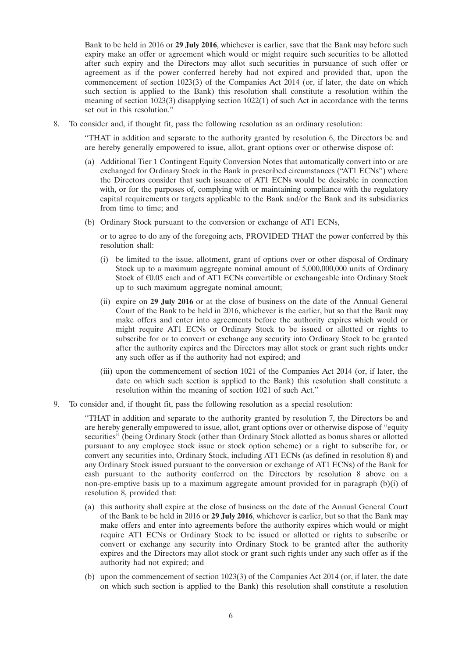Bank to be held in 2016 or **29 July 2016**, whichever is earlier, save that the Bank may before such expiry make an offer or agreement which would or might require such securities to be allotted after such expiry and the Directors may allot such securities in pursuance of such offer or agreement as if the power conferred hereby had not expired and provided that, upon the commencement of section 1023(3) of the Companies Act 2014 (or, if later, the date on which such section is applied to the Bank) this resolution shall constitute a resolution within the meaning of section 1023(3) disapplying section 1022(1) of such Act in accordance with the terms set out in this resolution.''

8. To consider and, if thought fit, pass the following resolution as an ordinary resolution:

''THAT in addition and separate to the authority granted by resolution 6, the Directors be and are hereby generally empowered to issue, allot, grant options over or otherwise dispose of:

- (a) Additional Tier 1 Contingent Equity Conversion Notes that automatically convert into or are exchanged for Ordinary Stock in the Bank in prescribed circumstances ("AT1 ECNs") where the Directors consider that such issuance of AT1 ECNs would be desirable in connection with, or for the purposes of, complying with or maintaining compliance with the regulatory capital requirements or targets applicable to the Bank and/or the Bank and its subsidiaries from time to time; and
- (b) Ordinary Stock pursuant to the conversion or exchange of AT1 ECNs,

or to agree to do any of the foregoing acts, PROVIDED THAT the power conferred by this resolution shall:

- (i) be limited to the issue, allotment, grant of options over or other disposal of Ordinary Stock up to a maximum aggregate nominal amount of 5,000,000,000 units of Ordinary Stock of  $E$ 0.05 each and of AT1 ECNs convertible or exchangeable into Ordinary Stock up to such maximum aggregate nominal amount;
- (ii) expire on **29 July 2016** or at the close of business on the date of the Annual General Court of the Bank to be held in 2016, whichever is the earlier, but so that the Bank may make offers and enter into agreements before the authority expires which would or might require AT1 ECNs or Ordinary Stock to be issued or allotted or rights to subscribe for or to convert or exchange any security into Ordinary Stock to be granted after the authority expires and the Directors may allot stock or grant such rights under any such offer as if the authority had not expired; and
- (iii) upon the commencement of section 1021 of the Companies Act 2014 (or, if later, the date on which such section is applied to the Bank) this resolution shall constitute a resolution within the meaning of section 1021 of such Act.''
- 9. To consider and, if thought fit, pass the following resolution as a special resolution:

''THAT in addition and separate to the authority granted by resolution 7, the Directors be and are hereby generally empowered to issue, allot, grant options over or otherwise dispose of ''equity securities'' (being Ordinary Stock (other than Ordinary Stock allotted as bonus shares or allotted pursuant to any employee stock issue or stock option scheme) or a right to subscribe for, or convert any securities into, Ordinary Stock, including AT1 ECNs (as defined in resolution 8) and any Ordinary Stock issued pursuant to the conversion or exchange of AT1 ECNs) of the Bank for cash pursuant to the authority conferred on the Directors by resolution 8 above on a non-pre-emptive basis up to a maximum aggregate amount provided for in paragraph (b)(i) of resolution 8, provided that:

- (a) this authority shall expire at the close of business on the date of the Annual General Court of the Bank to be held in 2016 or **29 July 2016**, whichever is earlier, but so that the Bank may make offers and enter into agreements before the authority expires which would or might require AT1 ECNs or Ordinary Stock to be issued or allotted or rights to subscribe or convert or exchange any security into Ordinary Stock to be granted after the authority expires and the Directors may allot stock or grant such rights under any such offer as if the authority had not expired; and
- (b) upon the commencement of section 1023(3) of the Companies Act 2014 (or, if later, the date on which such section is applied to the Bank) this resolution shall constitute a resolution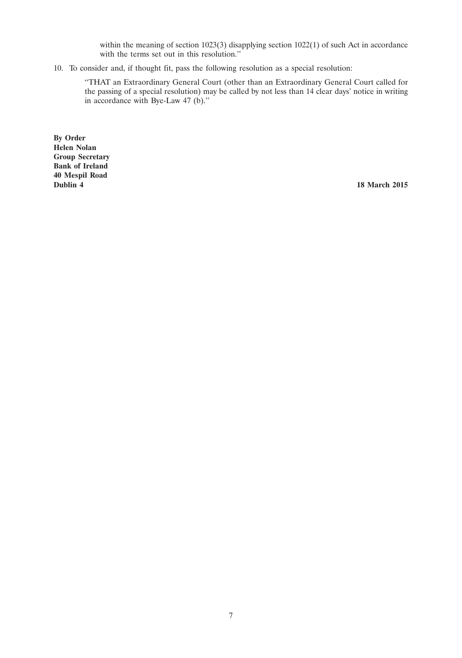within the meaning of section 1023(3) disapplying section 1022(1) of such Act in accordance with the terms set out in this resolution."

10. To consider and, if thought fit, pass the following resolution as a special resolution:

''THAT an Extraordinary General Court (other than an Extraordinary General Court called for the passing of a special resolution) may be called by not less than 14 clear days' notice in writing in accordance with Bye-Law 47 (b).''

**By Order Helen Nolan Group Secretary Bank of Ireland 40 Mespil Road**

**18 March 2015**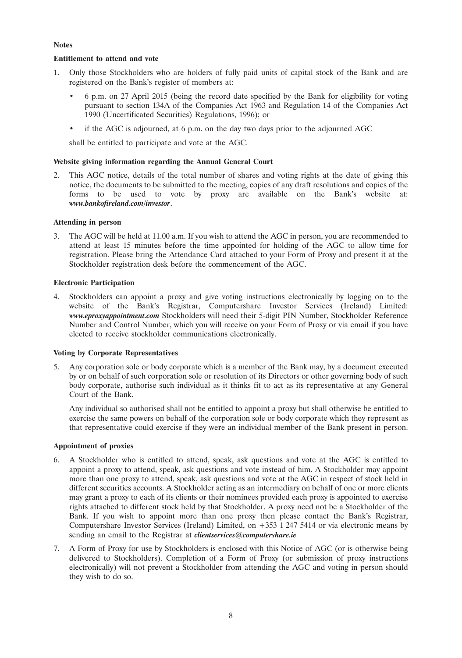### **Notes**

## **Entitlement to attend and vote**

- 1. Only those Stockholders who are holders of fully paid units of capital stock of the Bank and are registered on the Bank's register of members at:
	- 6 p.m. on 27 April 2015 (being the record date specified by the Bank for eligibility for voting pursuant to section 134A of the Companies Act 1963 and Regulation 14 of the Companies Act 1990 (Uncertificated Securities) Regulations, 1996); or
	- if the AGC is adjourned, at 6 p.m. on the day two days prior to the adjourned AGC

shall be entitled to participate and vote at the AGC.

## **Website giving information regarding the Annual General Court**

2. This AGC notice, details of the total number of shares and voting rights at the date of giving this notice, the documents to be submitted to the meeting, copies of any draft resolutions and copies of the forms to be used to vote by proxy are available on the Bank's website at: *www.bankofireland.com/investor*.

#### **Attending in person**

3. The AGC will be held at 11.00 a.m. If you wish to attend the AGC in person, you are recommended to attend at least 15 minutes before the time appointed for holding of the AGC to allow time for registration. Please bring the Attendance Card attached to your Form of Proxy and present it at the Stockholder registration desk before the commencement of the AGC.

#### **Electronic Participation**

4. Stockholders can appoint a proxy and give voting instructions electronically by logging on to the website of the Bank's Registrar, Computershare Investor Services (Ireland) Limited: *www.eproxyappointment.com* Stockholders will need their 5-digit PIN Number, Stockholder Reference Number and Control Number, which you will receive on your Form of Proxy or via email if you have elected to receive stockholder communications electronically.

# **Voting by Corporate Representatives**

5. Any corporation sole or body corporate which is a member of the Bank may, by a document executed by or on behalf of such corporation sole or resolution of its Directors or other governing body of such body corporate, authorise such individual as it thinks fit to act as its representative at any General Court of the Bank.

Any individual so authorised shall not be entitled to appoint a proxy but shall otherwise be entitled to exercise the same powers on behalf of the corporation sole or body corporate which they represent as that representative could exercise if they were an individual member of the Bank present in person.

### **Appointment of proxies**

- 6. A Stockholder who is entitled to attend, speak, ask questions and vote at the AGC is entitled to appoint a proxy to attend, speak, ask questions and vote instead of him. A Stockholder may appoint more than one proxy to attend, speak, ask questions and vote at the AGC in respect of stock held in different securities accounts. A Stockholder acting as an intermediary on behalf of one or more clients may grant a proxy to each of its clients or their nominees provided each proxy is appointed to exercise rights attached to different stock held by that Stockholder. A proxy need not be a Stockholder of the Bank. If you wish to appoint more than one proxy then please contact the Bank's Registrar, Computershare Investor Services (Ireland) Limited, on +353 1 247 5414 or via electronic means by sending an email to the Registrar at *clientservices@computershare.ie*
- 7. A Form of Proxy for use by Stockholders is enclosed with this Notice of AGC (or is otherwise being delivered to Stockholders). Completion of a Form of Proxy (or submission of proxy instructions electronically) will not prevent a Stockholder from attending the AGC and voting in person should they wish to do so.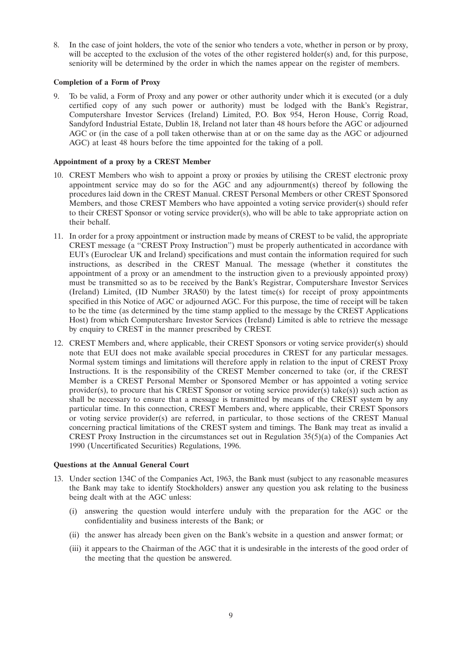8. In the case of joint holders, the vote of the senior who tenders a vote, whether in person or by proxy, will be accepted to the exclusion of the votes of the other registered holder(s) and, for this purpose, seniority will be determined by the order in which the names appear on the register of members.

#### **Completion of a Form of Proxy**

9. To be valid, a Form of Proxy and any power or other authority under which it is executed (or a duly certified copy of any such power or authority) must be lodged with the Bank's Registrar, Computershare Investor Services (Ireland) Limited, P.O. Box 954, Heron House, Corrig Road, Sandyford Industrial Estate, Dublin 18, Ireland not later than 48 hours before the AGC or adjourned AGC or (in the case of a poll taken otherwise than at or on the same day as the AGC or adjourned AGC) at least 48 hours before the time appointed for the taking of a poll.

#### **Appointment of a proxy by a CREST Member**

- 10. CREST Members who wish to appoint a proxy or proxies by utilising the CREST electronic proxy appointment service may do so for the AGC and any adjournment(s) thereof by following the procedures laid down in the CREST Manual. CREST Personal Members or other CREST Sponsored Members, and those CREST Members who have appointed a voting service provider(s) should refer to their CREST Sponsor or voting service provider(s), who will be able to take appropriate action on their behalf.
- 11. In order for a proxy appointment or instruction made by means of CREST to be valid, the appropriate CREST message (a ''CREST Proxy Instruction'') must be properly authenticated in accordance with EUI's (Euroclear UK and Ireland) specifications and must contain the information required for such instructions, as described in the CREST Manual. The message (whether it constitutes the appointment of a proxy or an amendment to the instruction given to a previously appointed proxy) must be transmitted so as to be received by the Bank's Registrar, Computershare Investor Services (Ireland) Limited, (ID Number 3RA50) by the latest time(s) for receipt of proxy appointments specified in this Notice of AGC or adjourned AGC. For this purpose, the time of receipt will be taken to be the time (as determined by the time stamp applied to the message by the CREST Applications Host) from which Computershare Investor Services (Ireland) Limited is able to retrieve the message by enquiry to CREST in the manner prescribed by CREST.
- 12. CREST Members and, where applicable, their CREST Sponsors or voting service provider(s) should note that EUI does not make available special procedures in CREST for any particular messages. Normal system timings and limitations will therefore apply in relation to the input of CREST Proxy Instructions. It is the responsibility of the CREST Member concerned to take (or, if the CREST Member is a CREST Personal Member or Sponsored Member or has appointed a voting service provider(s), to procure that his CREST Sponsor or voting service provider(s) take(s)) such action as shall be necessary to ensure that a message is transmitted by means of the CREST system by any particular time. In this connection, CREST Members and, where applicable, their CREST Sponsors or voting service provider(s) are referred, in particular, to those sections of the CREST Manual concerning practical limitations of the CREST system and timings. The Bank may treat as invalid a CREST Proxy Instruction in the circumstances set out in Regulation  $35(5)(a)$  of the Companies Act 1990 (Uncertificated Securities) Regulations, 1996.

#### **Questions at the Annual General Court**

- 13. Under section 134C of the Companies Act, 1963, the Bank must (subject to any reasonable measures the Bank may take to identify Stockholders) answer any question you ask relating to the business being dealt with at the AGC unless:
	- (i) answering the question would interfere unduly with the preparation for the AGC or the confidentiality and business interests of the Bank; or
	- (ii) the answer has already been given on the Bank's website in a question and answer format; or
	- (iii) it appears to the Chairman of the AGC that it is undesirable in the interests of the good order of the meeting that the question be answered.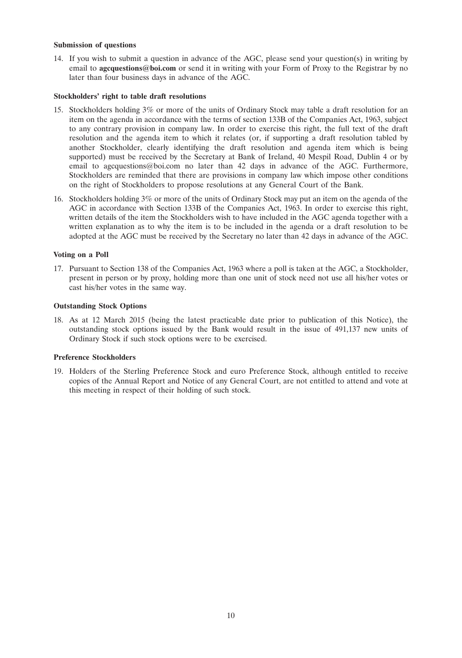#### **Submission of questions**

14. If you wish to submit a question in advance of the AGC, please send your question(s) in writing by email to **agcquestions@boi.com** or send it in writing with your Form of Proxy to the Registrar by no later than four business days in advance of the AGC.

#### **Stockholders' right to table draft resolutions**

- 15. Stockholders holding 3% or more of the units of Ordinary Stock may table a draft resolution for an item on the agenda in accordance with the terms of section 133B of the Companies Act, 1963, subject to any contrary provision in company law. In order to exercise this right, the full text of the draft resolution and the agenda item to which it relates (or, if supporting a draft resolution tabled by another Stockholder, clearly identifying the draft resolution and agenda item which is being supported) must be received by the Secretary at Bank of Ireland, 40 Mespil Road, Dublin 4 or by email to agcquestions@boi.com no later than 42 days in advance of the AGC. Furthermore, Stockholders are reminded that there are provisions in company law which impose other conditions on the right of Stockholders to propose resolutions at any General Court of the Bank.
- 16. Stockholders holding 3% or more of the units of Ordinary Stock may put an item on the agenda of the AGC in accordance with Section 133B of the Companies Act, 1963. In order to exercise this right, written details of the item the Stockholders wish to have included in the AGC agenda together with a written explanation as to why the item is to be included in the agenda or a draft resolution to be adopted at the AGC must be received by the Secretary no later than 42 days in advance of the AGC.

#### **Voting on a Poll**

17. Pursuant to Section 138 of the Companies Act, 1963 where a poll is taken at the AGC, a Stockholder, present in person or by proxy, holding more than one unit of stock need not use all his/her votes or cast his/her votes in the same way.

### **Outstanding Stock Options**

18. As at 12 March 2015 (being the latest practicable date prior to publication of this Notice), the outstanding stock options issued by the Bank would result in the issue of 491,137 new units of Ordinary Stock if such stock options were to be exercised.

#### **Preference Stockholders**

19. Holders of the Sterling Preference Stock and euro Preference Stock, although entitled to receive copies of the Annual Report and Notice of any General Court, are not entitled to attend and vote at this meeting in respect of their holding of such stock.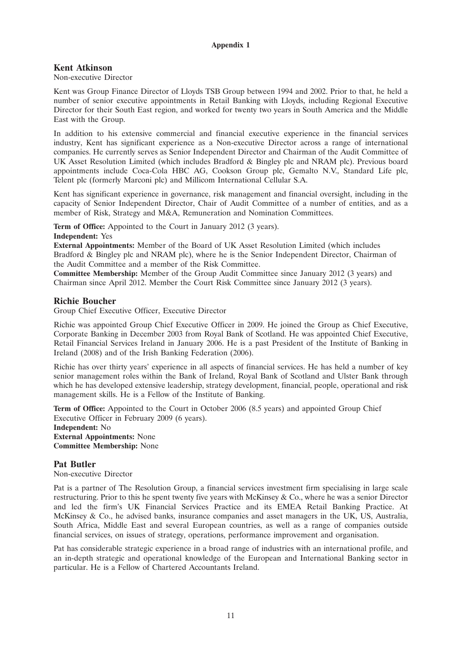### **Appendix 1**

# **Kent Atkinson**

### Non-executive Director

Kent was Group Finance Director of Lloyds TSB Group between 1994 and 2002. Prior to that, he held a number of senior executive appointments in Retail Banking with Lloyds, including Regional Executive Director for their South East region, and worked for twenty two years in South America and the Middle East with the Group.

In addition to his extensive commercial and financial executive experience in the financial services industry, Kent has significant experience as a Non-executive Director across a range of international companies. He currently serves as Senior Independent Director and Chairman of the Audit Committee of UK Asset Resolution Limited (which includes Bradford & Bingley plc and NRAM plc). Previous board appointments include Coca-Cola HBC AG, Cookson Group plc, Gemalto N.V., Standard Life plc, Telent plc (formerly Marconi plc) and Millicom International Cellular S.A.

Kent has significant experience in governance, risk management and financial oversight, including in the capacity of Senior Independent Director, Chair of Audit Committee of a number of entities, and as a member of Risk, Strategy and M&A, Remuneration and Nomination Committees.

**Term of Office:** Appointed to the Court in January 2012 (3 years).

**Independent:** Yes

**External Appointments:** Member of the Board of UK Asset Resolution Limited (which includes Bradford & Bingley plc and NRAM plc), where he is the Senior Independent Director, Chairman of the Audit Committee and a member of the Risk Committee.

**Committee Membership:** Member of the Group Audit Committee since January 2012 (3 years) and Chairman since April 2012. Member the Court Risk Committee since January 2012 (3 years).

# **Richie Boucher**

Group Chief Executive Officer, Executive Director

Richie was appointed Group Chief Executive Officer in 2009. He joined the Group as Chief Executive, Corporate Banking in December 2003 from Royal Bank of Scotland. He was appointed Chief Executive, Retail Financial Services Ireland in January 2006. He is a past President of the Institute of Banking in Ireland (2008) and of the Irish Banking Federation (2006).

Richie has over thirty years' experience in all aspects of financial services. He has held a number of key senior management roles within the Bank of Ireland, Royal Bank of Scotland and Ulster Bank through which he has developed extensive leadership, strategy development, financial, people, operational and risk management skills. He is a Fellow of the Institute of Banking.

**Term of Office:** Appointed to the Court in October 2006 (8.5 years) and appointed Group Chief Executive Officer in February 2009 (6 years).

**Independent:** No **External Appointments:** None **Committee Membership:** None

# **Pat Butler**

Non-executive Director

Pat is a partner of The Resolution Group, a financial services investment firm specialising in large scale restructuring. Prior to this he spent twenty five years with McKinsey & Co., where he was a senior Director and led the firm's UK Financial Services Practice and its EMEA Retail Banking Practice. At McKinsey & Co., he advised banks, insurance companies and asset managers in the UK, US, Australia, South Africa, Middle East and several European countries, as well as a range of companies outside financial services, on issues of strategy, operations, performance improvement and organisation.

Pat has considerable strategic experience in a broad range of industries with an international profile, and an in-depth strategic and operational knowledge of the European and International Banking sector in particular. He is a Fellow of Chartered Accountants Ireland.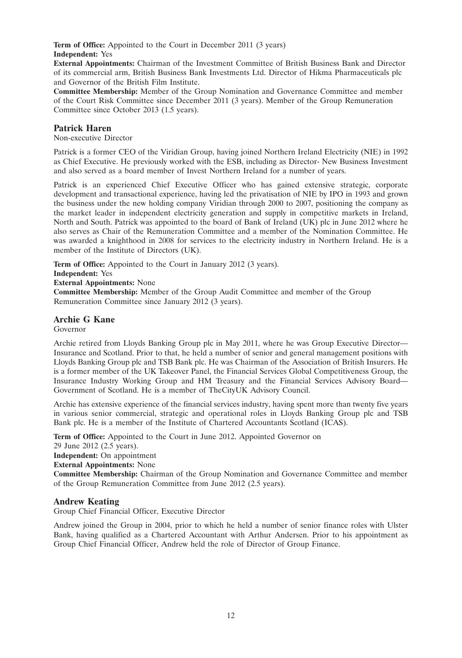**Term of Office:** Appointed to the Court in December 2011 (3 years) **Independent:** Yes

**External Appointments:** Chairman of the Investment Committee of British Business Bank and Director of its commercial arm, British Business Bank Investments Ltd. Director of Hikma Pharmaceuticals plc and Governor of the British Film Institute.

**Committee Membership:** Member of the Group Nomination and Governance Committee and member of the Court Risk Committee since December 2011 (3 years). Member of the Group Remuneration Committee since October 2013 (1.5 years).

# **Patrick Haren**

Non-executive Director

Patrick is a former CEO of the Viridian Group, having joined Northern Ireland Electricity (NIE) in 1992 as Chief Executive. He previously worked with the ESB, including as Director- New Business Investment and also served as a board member of Invest Northern Ireland for a number of years.

Patrick is an experienced Chief Executive Officer who has gained extensive strategic, corporate development and transactional experience, having led the privatisation of NIE by IPO in 1993 and grown the business under the new holding company Viridian through 2000 to 2007, positioning the company as the market leader in independent electricity generation and supply in competitive markets in Ireland, North and South. Patrick was appointed to the board of Bank of Ireland (UK) plc in June 2012 where he also serves as Chair of the Remuneration Committee and a member of the Nomination Committee. He was awarded a knighthood in 2008 for services to the electricity industry in Northern Ireland. He is a member of the Institute of Directors (UK).

**Term of Office:** Appointed to the Court in January 2012 (3 years).

**Independent:** Yes

**External Appointments:** None

**Committee Membership:** Member of the Group Audit Committee and member of the Group Remuneration Committee since January 2012 (3 years).

# **Archie G Kane**

Governor

Archie retired from Lloyds Banking Group plc in May 2011, where he was Group Executive Director— Insurance and Scotland. Prior to that, he held a number of senior and general management positions with Lloyds Banking Group plc and TSB Bank plc. He was Chairman of the Association of British Insurers. He is a former member of the UK Takeover Panel, the Financial Services Global Competitiveness Group, the Insurance Industry Working Group and HM Treasury and the Financial Services Advisory Board— Government of Scotland. He is a member of TheCityUK Advisory Council.

Archie has extensive experience of the financial services industry, having spent more than twenty five years in various senior commercial, strategic and operational roles in Lloyds Banking Group plc and TSB Bank plc. He is a member of the Institute of Chartered Accountants Scotland (ICAS).

**Term of Office:** Appointed to the Court in June 2012. Appointed Governor on

29 June 2012 (2.5 years).

**Independent:** On appointment

**External Appointments:** None

**Committee Membership:** Chairman of the Group Nomination and Governance Committee and member of the Group Remuneration Committee from June 2012 (2.5 years).

# **Andrew Keating**

Group Chief Financial Officer, Executive Director

Andrew joined the Group in 2004, prior to which he held a number of senior finance roles with Ulster Bank, having qualified as a Chartered Accountant with Arthur Andersen. Prior to his appointment as Group Chief Financial Officer, Andrew held the role of Director of Group Finance.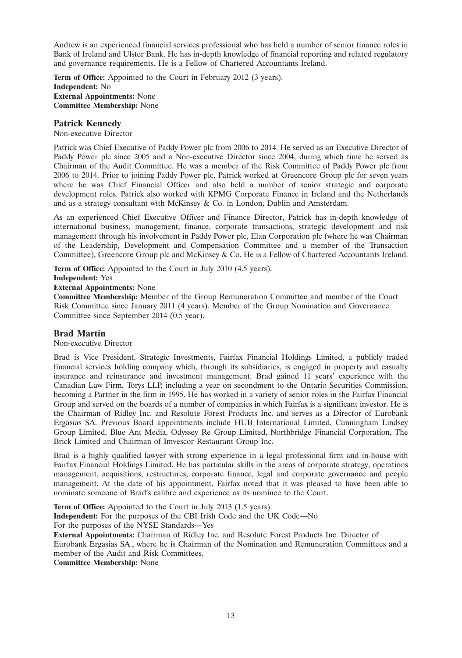Andrew is an experienced financial services professional who has held a number of senior finance roles in Bank of Ireland and Ulster Bank. He has in-depth knowledge of financial reporting and related regulatory and governance requirements. He is a Fellow of Chartered Accountants Ireland.

**Term of Office:** Appointed to the Court in February 2012 (3 years). **Independent:** No **External Appointments:** None **Committee Membership:** None

## **Patrick Kennedy**

Non-executive Director

Patrick was Chief Executive of Paddy Power plc from 2006 to 2014. He served as an Executive Director of Paddy Power plc since 2005 and a Non-executive Director since 2004, during which time he served as Chairman of the Audit Committee. He was a member of the Risk Committee of Paddy Power plc from 2006 to 2014. Prior to joining Paddy Power plc, Patrick worked at Greencore Group plc for seven years where he was Chief Financial Officer and also held a number of senior strategic and corporate development roles. Patrick also worked with KPMG Corporate Finance in Ireland and the Netherlands and as a strategy consultant with McKinsey  $\& Co.$  in London, Dublin and Amsterdam.

As an experienced Chief Executive Officer and Finance Director, Patrick has in-depth knowledge of international business, management, finance, corporate transactions, strategic development and risk management through his involvement in Paddy Power plc, Elan Corporation plc (where he was Chairman of the Leadership, Development and Compensation Committee and a member of the Transaction Committee), Greencore Group plc and McKinsey & Co. He is a Fellow of Chartered Accountants Ireland.

**Term of Office:** Appointed to the Court in July 2010 (4.5 years).

**Independent:** Yes

**External Appointments:** None

**Committee Membership:** Member of the Group Remuneration Committee and member of the Court Risk Committee since January 2011 (4 years). Member of the Group Nomination and Governance Committee since September 2014 (0.5 year).

# **Brad Martin**

Non-executive Director

Brad is Vice President, Strategic Investments, Fairfax Financial Holdings Limited, a publicly traded financial services holding company which, through its subsidiaries, is engaged in property and casualty insurance and reinsurance and investment management. Brad gained 11 years' experience with the Canadian Law Firm, Torys LLP, including a year on secondment to the Ontario Securities Commission, becoming a Partner in the firm in 1995. He has worked in a variety of senior roles in the Fairfax Financial Group and served on the boards of a number of companies in which Fairfax is a significant investor. He is the Chairman of Ridley Inc. and Resolute Forest Products Inc. and serves as a Director of Eurobank Ergasias SA. Previous Board appointments include HUB International Limited, Cunningham Lindsey Group Limited, Blue Ant Media, Odyssey Re Group Limited, Northbridge Financial Corporation, The Brick Limited and Chairman of Imvescor Restaurant Group Inc.

Brad is a highly qualified lawyer with strong experience in a legal professional firm and in-house with Fairfax Financial Holdings Limited. He has particular skills in the areas of corporate strategy, operations management, acquisitions, restructures, corporate finance, legal and corporate governance and people management. At the date of his appointment, Fairfax noted that it was pleased to have been able to nominate someone of Brad's calibre and experience as its nominee to the Court.

**Term of Office:** Appointed to the Court in July 2013 (1.5 years). **Independent:** For the purposes of the CBI Irish Code and the UK Code—No For the purposes of the NYSE Standards—Yes **External Appointments:** Chairman of Ridley Inc. and Resolute Forest Products Inc. Director of Eurobank Ergasias SA., where he is Chairman of the Nomination and Remuneration Committees and a member of the Audit and Risk Committees.

**Committee Membership:** None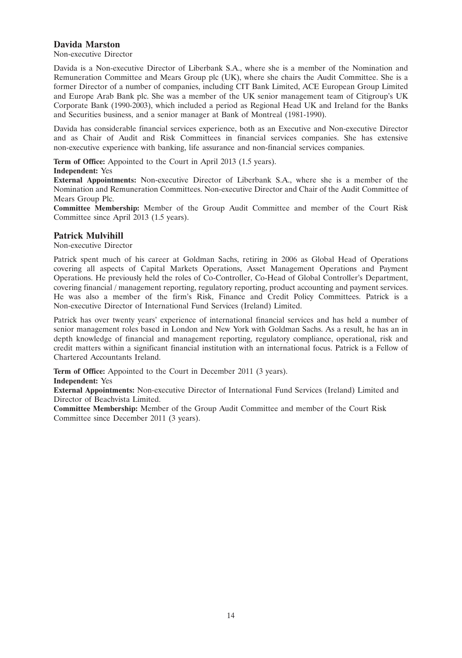# **Davida Marston**

Non-executive Director

Davida is a Non-executive Director of Liberbank S.A., where she is a member of the Nomination and Remuneration Committee and Mears Group plc (UK), where she chairs the Audit Committee. She is a former Director of a number of companies, including CIT Bank Limited, ACE European Group Limited and Europe Arab Bank plc. She was a member of the UK senior management team of Citigroup's UK Corporate Bank (1990-2003), which included a period as Regional Head UK and Ireland for the Banks and Securities business, and a senior manager at Bank of Montreal (1981-1990).

Davida has considerable financial services experience, both as an Executive and Non-executive Director and as Chair of Audit and Risk Committees in financial services companies. She has extensive non-executive experience with banking, life assurance and non-financial services companies.

**Term of Office:** Appointed to the Court in April 2013 (1.5 years).

#### **Independent:** Yes

**External Appointments:** Non-executive Director of Liberbank S.A., where she is a member of the Nomination and Remuneration Committees. Non-executive Director and Chair of the Audit Committee of Mears Group Plc.

**Committee Membership:** Member of the Group Audit Committee and member of the Court Risk Committee since April 2013 (1.5 years).

# **Patrick Mulvihill**

Non-executive Director

Patrick spent much of his career at Goldman Sachs, retiring in 2006 as Global Head of Operations covering all aspects of Capital Markets Operations, Asset Management Operations and Payment Operations. He previously held the roles of Co-Controller, Co-Head of Global Controller's Department, covering financial / management reporting, regulatory reporting, product accounting and payment services. He was also a member of the firm's Risk, Finance and Credit Policy Committees. Patrick is a Non-executive Director of International Fund Services (Ireland) Limited.

Patrick has over twenty years' experience of international financial services and has held a number of senior management roles based in London and New York with Goldman Sachs. As a result, he has an in depth knowledge of financial and management reporting, regulatory compliance, operational, risk and credit matters within a significant financial institution with an international focus. Patrick is a Fellow of Chartered Accountants Ireland.

**Term of Office:** Appointed to the Court in December 2011 (3 years).

**Independent:** Yes

**External Appointments:** Non-executive Director of International Fund Services (Ireland) Limited and Director of Beachvista Limited.

**Committee Membership:** Member of the Group Audit Committee and member of the Court Risk Committee since December 2011 (3 years).